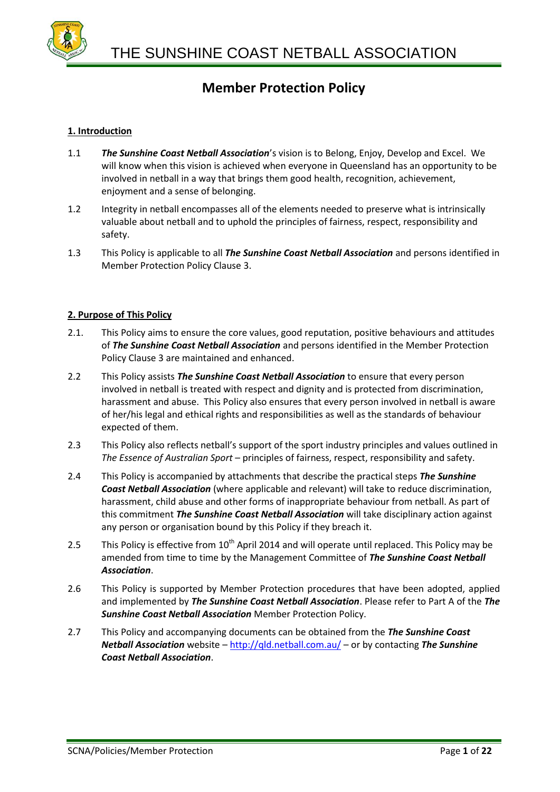

### **1. Introduction**

- 1.1 *The Sunshine Coast Netball Association*'s vision is to Belong, Enjoy, Develop and Excel. We will know when this vision is achieved when everyone in Queensland has an opportunity to be involved in netball in a way that brings them good health, recognition, achievement, enjoyment and a sense of belonging.
- 1.2 Integrity in netball encompasses all of the elements needed to preserve what is intrinsically valuable about netball and to uphold the principles of fairness, respect, responsibility and safety.
- 1.3 This Policy is applicable to all *The Sunshine Coast Netball Association* and persons identified in Member Protection Policy Clause 3.

### **2. Purpose of This Policy**

- 2.1. This Policy aims to ensure the core values, good reputation, positive behaviours and attitudes of *The Sunshine Coast Netball Association* and persons identified in the Member Protection Policy Clause 3 are maintained and enhanced.
- 2.2 This Policy assists *The Sunshine Coast Netball Association* to ensure that every person involved in netball is treated with respect and dignity and is protected from discrimination, harassment and abuse. This Policy also ensures that every person involved in netball is aware of her/his legal and ethical rights and responsibilities as well as the standards of behaviour expected of them.
- 2.3 This Policy also reflects netball's support of the sport industry principles and values outlined in *The Essence of Australian Sport* – principles of fairness, respect, responsibility and safety.
- 2.4 This Policy is accompanied by attachments that describe the practical steps *The Sunshine Coast Netball Association* (where applicable and relevant) will take to reduce discrimination, harassment, child abuse and other forms of inappropriate behaviour from netball. As part of this commitment *The Sunshine Coast Netball Association* will take disciplinary action against any person or organisation bound by this Policy if they breach it.
- 2.5 This Policy is effective from 10<sup>th</sup> April 2014 and will operate until replaced. This Policy may be amended from time to time by the Management Committee of *The Sunshine Coast Netball Association*.
- 2.6 This Policy is supported by Member Protection procedures that have been adopted, applied and implemented by *The Sunshine Coast Netball Association*. Please refer to Part A of the *The Sunshine Coast Netball Association* Member Protection Policy.
- 2.7 This Policy and accompanying documents can be obtained from the *The Sunshine Coast Netball Association* website – <http://qld.netball.com.au/> – or by contacting *The Sunshine Coast Netball Association*.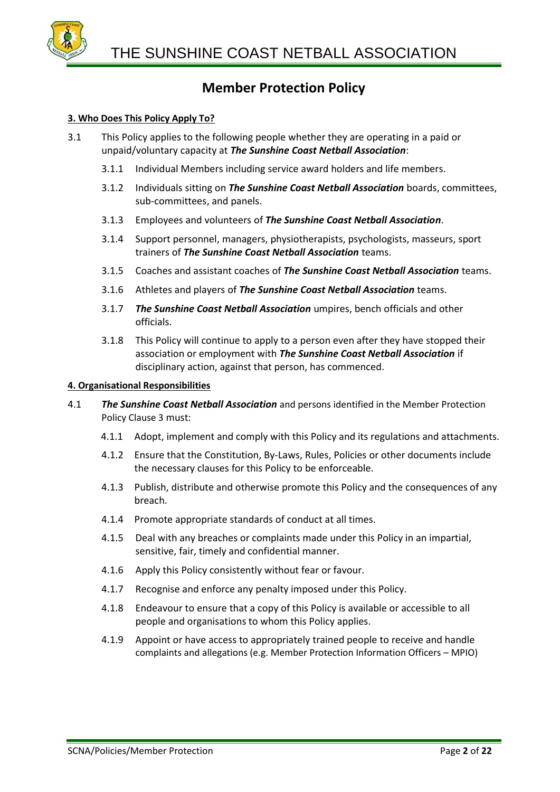

### **3. Who Does This Policy Apply To?**

- 3.1 This Policy applies to the following people whether they are operating in a paid or unpaid/voluntary capacity at *The Sunshine Coast Netball Association*:
	- 3.1.1 Individual Members including service award holders and life members.
	- 3.1.2 Individuals sitting on *The Sunshine Coast Netball Association* boards, committees, sub-committees, and panels.
	- 3.1.3 Employees and volunteers of *The Sunshine Coast Netball Association*.
	- 3.1.4 Support personnel, managers, physiotherapists, psychologists, masseurs, sport trainers of *The Sunshine Coast Netball Association* teams.
	- 3.1.5 Coaches and assistant coaches of *The Sunshine Coast Netball Association* teams.
	- 3.1.6 Athletes and players of *The Sunshine Coast Netball Association* teams.
	- 3.1.7 *The Sunshine Coast Netball Association* umpires, bench officials and other officials.
	- 3.1.8 This Policy will continue to apply to a person even after they have stopped their association or employment with *The Sunshine Coast Netball Association* if disciplinary action, against that person, has commenced.

### **4. Organisational Responsibilities**

- 4.1 *The Sunshine Coast Netball Association* and persons identified in the Member Protection Policy Clause 3 must:
	- 4.1.1 Adopt, implement and comply with this Policy and its regulations and attachments.
	- 4.1.2 Ensure that the Constitution, By-Laws, Rules, Policies or other documents include the necessary clauses for this Policy to be enforceable.
	- 4.1.3 Publish, distribute and otherwise promote this Policy and the consequences of any breach.
	- 4.1.4 Promote appropriate standards of conduct at all times.
	- 4.1.5 Deal with any breaches or complaints made under this Policy in an impartial, sensitive, fair, timely and confidential manner.
	- 4.1.6 Apply this Policy consistently without fear or favour.
	- 4.1.7 Recognise and enforce any penalty imposed under this Policy.
	- 4.1.8 Endeavour to ensure that a copy of this Policy is available or accessible to all people and organisations to whom this Policy applies.
	- 4.1.9 Appoint or have access to appropriately trained people to receive and handle complaints and allegations (e.g. Member Protection Information Officers – MPIO)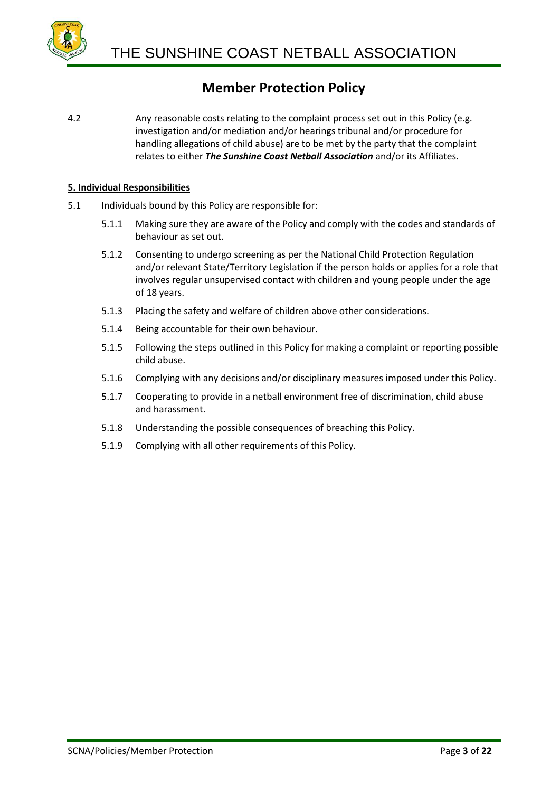

4.2 Any reasonable costs relating to the complaint process set out in this Policy (e.g. investigation and/or mediation and/or hearings tribunal and/or procedure for handling allegations of child abuse) are to be met by the party that the complaint relates to either *The Sunshine Coast Netball Association* and/or its Affiliates.

### **5. Individual Responsibilities**

- 5.1 Individuals bound by this Policy are responsible for:
	- 5.1.1 Making sure they are aware of the Policy and comply with the codes and standards of behaviour as set out.
	- 5.1.2 Consenting to undergo screening as per the National Child Protection Regulation and/or relevant State/Territory Legislation if the person holds or applies for a role that involves regular unsupervised contact with children and young people under the age of 18 years.
	- 5.1.3 Placing the safety and welfare of children above other considerations.
	- 5.1.4 Being accountable for their own behaviour.
	- 5.1.5 Following the steps outlined in this Policy for making a complaint or reporting possible child abuse.
	- 5.1.6 Complying with any decisions and/or disciplinary measures imposed under this Policy.
	- 5.1.7 Cooperating to provide in a netball environment free of discrimination, child abuse and harassment.
	- 5.1.8 Understanding the possible consequences of breaching this Policy.
	- 5.1.9 Complying with all other requirements of this Policy.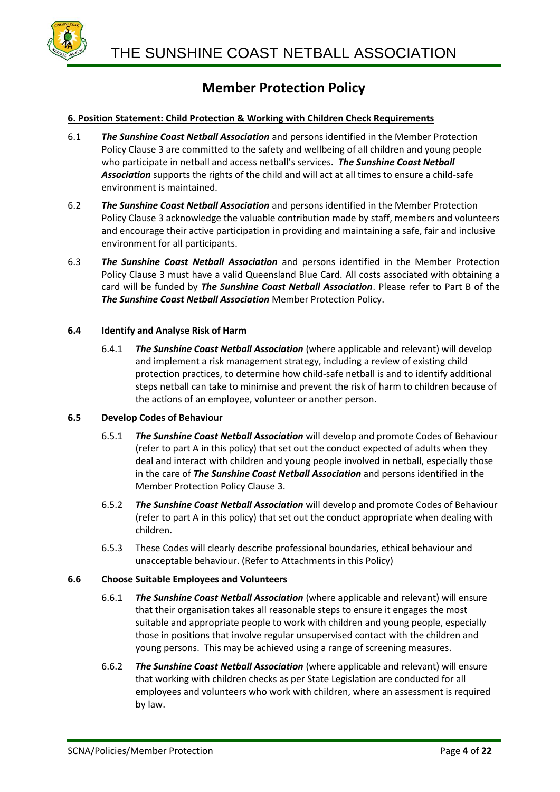

### **6. Position Statement: Child Protection & Working with Children Check Requirements**

- 6.1 *The Sunshine Coast Netball Association* and persons identified in the Member Protection Policy Clause 3 are committed to the safety and wellbeing of all children and young people who participate in netball and access netball's services. *The Sunshine Coast Netball Association* supports the rights of the child and will act at all times to ensure a child-safe environment is maintained.
- 6.2 *The Sunshine Coast Netball Association* and persons identified in the Member Protection Policy Clause 3 acknowledge the valuable contribution made by staff, members and volunteers and encourage their active participation in providing and maintaining a safe, fair and inclusive environment for all participants.
- 6.3 *The Sunshine Coast Netball Association* and persons identified in the Member Protection Policy Clause 3 must have a valid Queensland Blue Card. All costs associated with obtaining a card will be funded by *The Sunshine Coast Netball Association*. Please refer to Part B of the *The Sunshine Coast Netball Association* Member Protection Policy.

### **6.4 Identify and Analyse Risk of Harm**

6.4.1 *The Sunshine Coast Netball Association* (where applicable and relevant) will develop and implement a risk management strategy, including a review of existing child protection practices, to determine how child-safe netball is and to identify additional steps netball can take to minimise and prevent the risk of harm to children because of the actions of an employee, volunteer or another person.

### **6.5 Develop Codes of Behaviour**

- 6.5.1 *The Sunshine Coast Netball Association* will develop and promote Codes of Behaviour (refer to part A in this policy) that set out the conduct expected of adults when they deal and interact with children and young people involved in netball, especially those in the care of *The Sunshine Coast Netball Association* and persons identified in the Member Protection Policy Clause 3.
- 6.5.2 *The Sunshine Coast Netball Association* will develop and promote Codes of Behaviour (refer to part A in this policy) that set out the conduct appropriate when dealing with children.
- 6.5.3 These Codes will clearly describe professional boundaries, ethical behaviour and unacceptable behaviour. (Refer to Attachments in this Policy)

### **6.6 Choose Suitable Employees and Volunteers**

- 6.6.1 *The Sunshine Coast Netball Association* (where applicable and relevant) will ensure that their organisation takes all reasonable steps to ensure it engages the most suitable and appropriate people to work with children and young people, especially those in positions that involve regular unsupervised contact with the children and young persons. This may be achieved using a range of screening measures.
- 6.6.2 *The Sunshine Coast Netball Association* (where applicable and relevant) will ensure that working with children checks as per State Legislation are conducted for all employees and volunteers who work with children, where an assessment is required by law.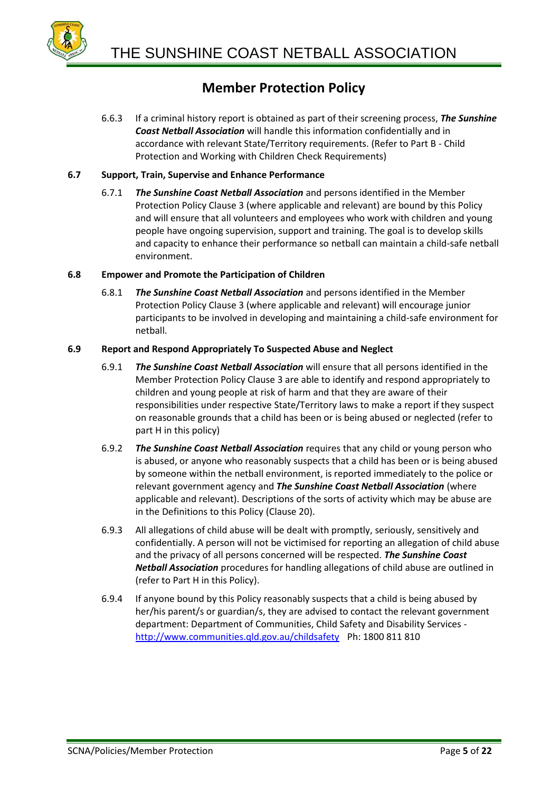

6.6.3 If a criminal history report is obtained as part of their screening process, *The Sunshine Coast Netball Association* will handle this information confidentially and in accordance with relevant State/Territory requirements. (Refer to Part B - Child Protection and Working with Children Check Requirements)

### **6.7 Support, Train, Supervise and Enhance Performance**

6.7.1 *The Sunshine Coast Netball Association* and persons identified in the Member Protection Policy Clause 3 (where applicable and relevant) are bound by this Policy and will ensure that all volunteers and employees who work with children and young people have ongoing supervision, support and training. The goal is to develop skills and capacity to enhance their performance so netball can maintain a child-safe netball environment.

### **6.8 Empower and Promote the Participation of Children**

6.8.1 *The Sunshine Coast Netball Association* and persons identified in the Member Protection Policy Clause 3 (where applicable and relevant) will encourage junior participants to be involved in developing and maintaining a child-safe environment for netball.

### **6.9 Report and Respond Appropriately To Suspected Abuse and Neglect**

- 6.9.1 *The Sunshine Coast Netball Association* will ensure that all persons identified in the Member Protection Policy Clause 3 are able to identify and respond appropriately to children and young people at risk of harm and that they are aware of their responsibilities under respective State/Territory laws to make a report if they suspect on reasonable grounds that a child has been or is being abused or neglected (refer to part H in this policy)
- 6.9.2 *The Sunshine Coast Netball Association* requires that any child or young person who is abused, or anyone who reasonably suspects that a child has been or is being abused by someone within the netball environment, is reported immediately to the police or relevant government agency and *The Sunshine Coast Netball Association* (where applicable and relevant). Descriptions of the sorts of activity which may be abuse are in the Definitions to this Policy (Clause 20).
- 6.9.3 All allegations of child abuse will be dealt with promptly, seriously, sensitively and confidentially. A person will not be victimised for reporting an allegation of child abuse and the privacy of all persons concerned will be respected. *The Sunshine Coast Netball Association* procedures for handling allegations of child abuse are outlined in (refer to Part H in this Policy).
- 6.9.4 If anyone bound by this Policy reasonably suspects that a child is being abused by her/his parent/s or guardian/s, they are advised to contact the relevant government department: Department of Communities, Child Safety and Disability Services <http://www.communities.qld.gov.au/childsafety> Ph: 1800 811 810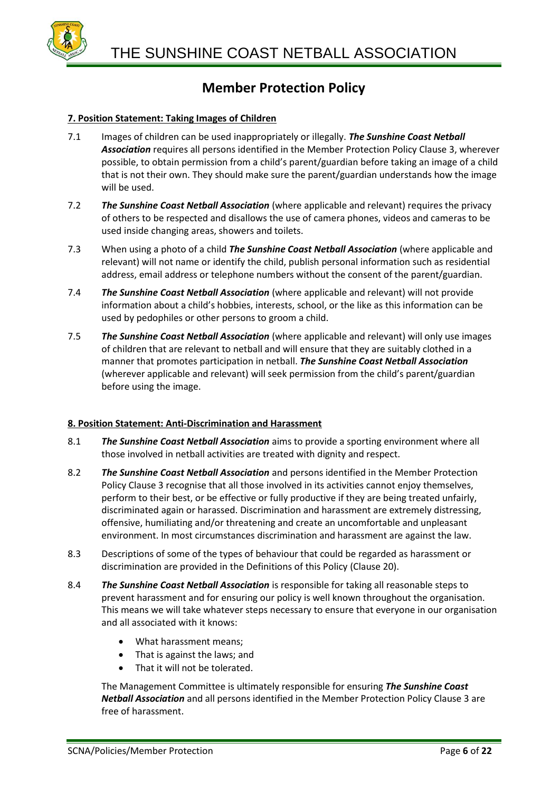

### **7. Position Statement: Taking Images of Children**

- 7.1 Images of children can be used inappropriately or illegally. *The Sunshine Coast Netball Association* requires all persons identified in the Member Protection Policy Clause 3, wherever possible, to obtain permission from a child's parent/guardian before taking an image of a child that is not their own. They should make sure the parent/guardian understands how the image will be used.
- 7.2 *The Sunshine Coast Netball Association* (where applicable and relevant) requires the privacy of others to be respected and disallows the use of camera phones, videos and cameras to be used inside changing areas, showers and toilets.
- 7.3 When using a photo of a child *The Sunshine Coast Netball Association* (where applicable and relevant) will not name or identify the child, publish personal information such as residential address, email address or telephone numbers without the consent of the parent/guardian.
- 7.4 *The Sunshine Coast Netball Association* (where applicable and relevant) will not provide information about a child's hobbies, interests, school, or the like as this information can be used by pedophiles or other persons to groom a child.
- 7.5 *The Sunshine Coast Netball Association* (where applicable and relevant) will only use images of children that are relevant to netball and will ensure that they are suitably clothed in a manner that promotes participation in netball. *The Sunshine Coast Netball Association* (wherever applicable and relevant) will seek permission from the child's parent/guardian before using the image.

### **8. Position Statement: Anti-Discrimination and Harassment**

- 8.1 *The Sunshine Coast Netball Association* aims to provide a sporting environment where all those involved in netball activities are treated with dignity and respect.
- 8.2 *The Sunshine Coast Netball Association* and persons identified in the Member Protection Policy Clause 3 recognise that all those involved in its activities cannot enjoy themselves, perform to their best, or be effective or fully productive if they are being treated unfairly, discriminated again or harassed. Discrimination and harassment are extremely distressing, offensive, humiliating and/or threatening and create an uncomfortable and unpleasant environment. In most circumstances discrimination and harassment are against the law.
- 8.3 Descriptions of some of the types of behaviour that could be regarded as harassment or discrimination are provided in the Definitions of this Policy (Clause 20).
- 8.4 *The Sunshine Coast Netball Association* is responsible for taking all reasonable steps to prevent harassment and for ensuring our policy is well known throughout the organisation. This means we will take whatever steps necessary to ensure that everyone in our organisation and all associated with it knows:
	- What harassment means;
	- That is against the laws; and
	- That it will not be tolerated.

The Management Committee is ultimately responsible for ensuring *The Sunshine Coast Netball Association* and all persons identified in the Member Protection Policy Clause 3 are free of harassment.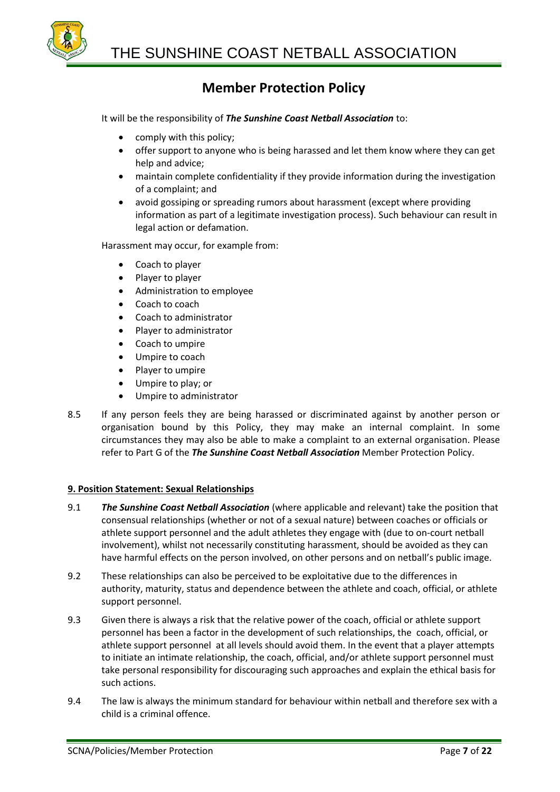

It will be the responsibility of *The Sunshine Coast Netball Association* to:

- comply with this policy;
- offer support to anyone who is being harassed and let them know where they can get help and advice;
- maintain complete confidentiality if they provide information during the investigation of a complaint; and
- avoid gossiping or spreading rumors about harassment (except where providing information as part of a legitimate investigation process). Such behaviour can result in legal action or defamation.

Harassment may occur, for example from:

- Coach to player
- Player to player
- Administration to employee
- Coach to coach
- Coach to administrator
- Player to administrator
- Coach to umpire
- Umpire to coach
- Player to umpire
- Umpire to play; or
- Umpire to administrator
- 8.5 If any person feels they are being harassed or discriminated against by another person or organisation bound by this Policy, they may make an internal complaint. In some circumstances they may also be able to make a complaint to an external organisation. Please refer to Part G of the *The Sunshine Coast Netball Association* Member Protection Policy.

### **9. Position Statement: Sexual Relationships**

- 9.1 *The Sunshine Coast Netball Association* (where applicable and relevant) take the position that consensual relationships (whether or not of a sexual nature) between coaches or officials or athlete support personnel and the adult athletes they engage with (due to on-court netball involvement), whilst not necessarily constituting harassment, should be avoided as they can have harmful effects on the person involved, on other persons and on netball's public image.
- 9.2 These relationships can also be perceived to be exploitative due to the differences in authority, maturity, status and dependence between the athlete and coach, official, or athlete support personnel.
- 9.3 Given there is always a risk that the relative power of the coach, official or athlete support personnel has been a factor in the development of such relationships, the coach, official, or athlete support personnel at all levels should avoid them. In the event that a player attempts to initiate an intimate relationship, the coach, official, and/or athlete support personnel must take personal responsibility for discouraging such approaches and explain the ethical basis for such actions.
- 9.4 The law is always the minimum standard for behaviour within netball and therefore sex with a child is a criminal offence.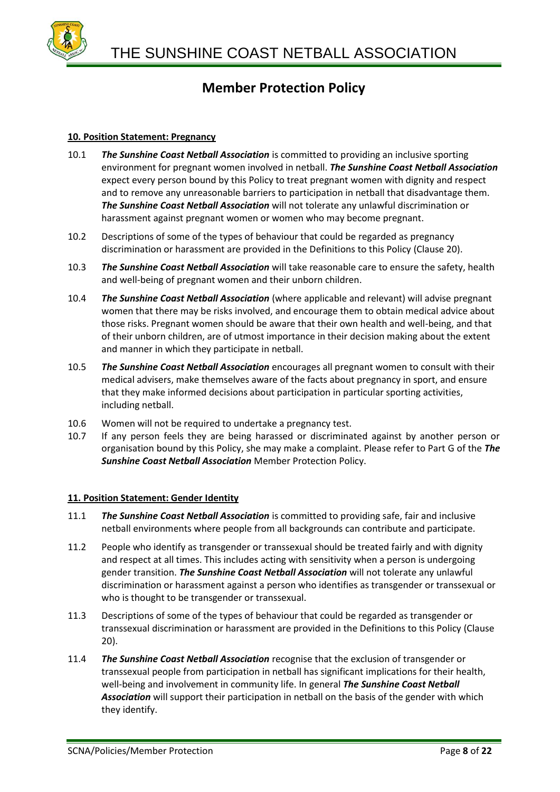

### **10. Position Statement: Pregnancy**

- 10.1 *The Sunshine Coast Netball Association* is committed to providing an inclusive sporting environment for pregnant women involved in netball. *The Sunshine Coast Netball Association* expect every person bound by this Policy to treat pregnant women with dignity and respect and to remove any unreasonable barriers to participation in netball that disadvantage them. *The Sunshine Coast Netball Association* will not tolerate any unlawful discrimination or harassment against pregnant women or women who may become pregnant.
- 10.2 Descriptions of some of the types of behaviour that could be regarded as pregnancy discrimination or harassment are provided in the Definitions to this Policy (Clause 20).
- 10.3 *The Sunshine Coast Netball Association* will take reasonable care to ensure the safety, health and well-being of pregnant women and their unborn children.
- 10.4 *The Sunshine Coast Netball Association* (where applicable and relevant) will advise pregnant women that there may be risks involved, and encourage them to obtain medical advice about those risks. Pregnant women should be aware that their own health and well-being, and that of their unborn children, are of utmost importance in their decision making about the extent and manner in which they participate in netball.
- 10.5 *The Sunshine Coast Netball Association* encourages all pregnant women to consult with their medical advisers, make themselves aware of the facts about pregnancy in sport, and ensure that they make informed decisions about participation in particular sporting activities, including netball.
- 10.6 Women will not be required to undertake a pregnancy test.
- 10.7 If any person feels they are being harassed or discriminated against by another person or organisation bound by this Policy, she may make a complaint. Please refer to Part G of the *The Sunshine Coast Netball Association* Member Protection Policy.

### **11. Position Statement: Gender Identity**

- 11.1 *The Sunshine Coast Netball Association* is committed to providing safe, fair and inclusive netball environments where people from all backgrounds can contribute and participate.
- 11.2 People who identify as transgender or transsexual should be treated fairly and with dignity and respect at all times. This includes acting with sensitivity when a person is undergoing gender transition. *The Sunshine Coast Netball Association* will not tolerate any unlawful discrimination or harassment against a person who identifies as transgender or transsexual or who is thought to be transgender or transsexual.
- 11.3 Descriptions of some of the types of behaviour that could be regarded as transgender or transsexual discrimination or harassment are provided in the Definitions to this Policy (Clause 20).
- 11.4 *The Sunshine Coast Netball Association* recognise that the exclusion of transgender or transsexual people from participation in netball has significant implications for their health, well-being and involvement in community life. In general *The Sunshine Coast Netball Association* will support their participation in netball on the basis of the gender with which they identify.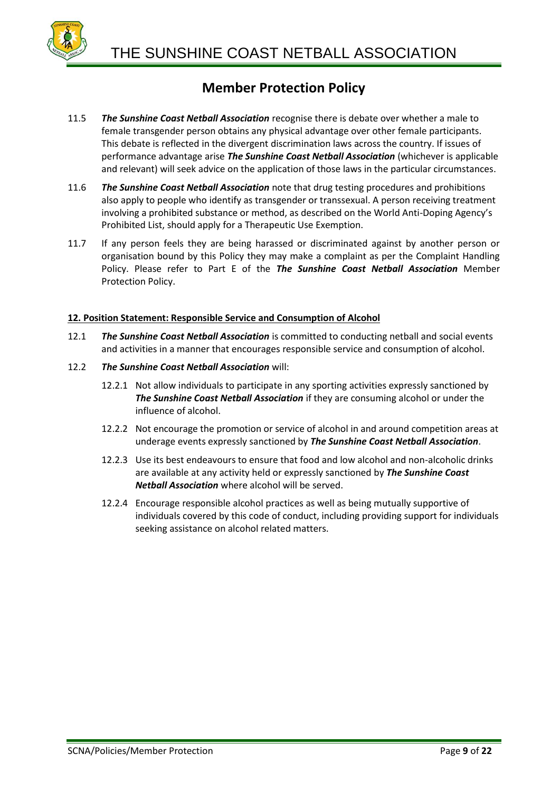

- 11.5 *The Sunshine Coast Netball Association* recognise there is debate over whether a male to female transgender person obtains any physical advantage over other female participants. This debate is reflected in the divergent discrimination laws across the country. If issues of performance advantage arise *The Sunshine Coast Netball Association* (whichever is applicable and relevant) will seek advice on the application of those laws in the particular circumstances.
- 11.6 *The Sunshine Coast Netball Association* note that drug testing procedures and prohibitions also apply to people who identify as transgender or transsexual. A person receiving treatment involving a prohibited substance or method, as described on the World Anti-Doping Agency's Prohibited List, should apply for a Therapeutic Use Exemption.
- 11.7 If any person feels they are being harassed or discriminated against by another person or organisation bound by this Policy they may make a complaint as per the Complaint Handling Policy. Please refer to Part E of the *The Sunshine Coast Netball Association* Member Protection Policy.

### **12. Position Statement: Responsible Service and Consumption of Alcohol**

- 12.1 *The Sunshine Coast Netball Association* is committed to conducting netball and social events and activities in a manner that encourages responsible service and consumption of alcohol.
- 12.2 *The Sunshine Coast Netball Association* will:
	- 12.2.1 Not allow individuals to participate in any sporting activities expressly sanctioned by *The Sunshine Coast Netball Association* if they are consuming alcohol or under the influence of alcohol.
	- 12.2.2 Not encourage the promotion or service of alcohol in and around competition areas at underage events expressly sanctioned by *The Sunshine Coast Netball Association*.
	- 12.2.3 Use its best endeavours to ensure that food and low alcohol and non-alcoholic drinks are available at any activity held or expressly sanctioned by *The Sunshine Coast Netball Association* where alcohol will be served.
	- 12.2.4 Encourage responsible alcohol practices as well as being mutually supportive of individuals covered by this code of conduct, including providing support for individuals seeking assistance on alcohol related matters.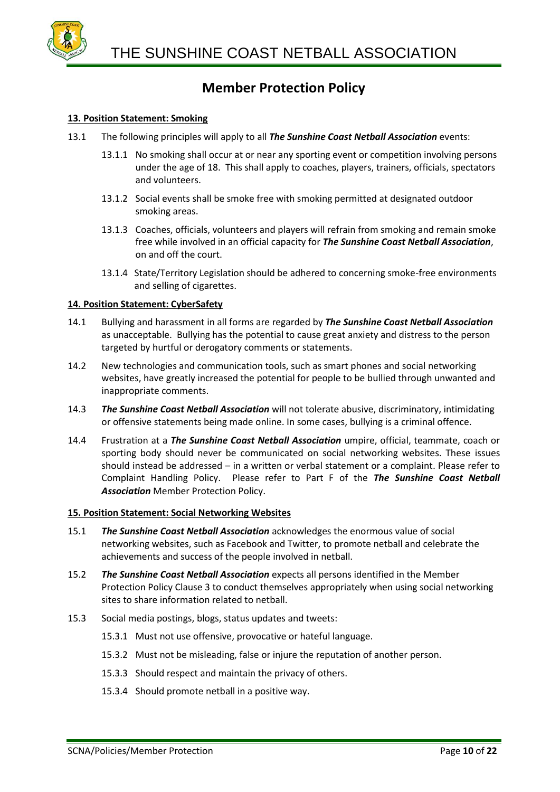

### **13. Position Statement: Smoking**

- 13.1 The following principles will apply to all *The Sunshine Coast Netball Association* events:
	- 13.1.1 No smoking shall occur at or near any sporting event or competition involving persons under the age of 18. This shall apply to coaches, players, trainers, officials, spectators and volunteers.
	- 13.1.2 Social events shall be smoke free with smoking permitted at designated outdoor smoking areas.
	- 13.1.3 Coaches, officials, volunteers and players will refrain from smoking and remain smoke free while involved in an official capacity for *The Sunshine Coast Netball Association*, on and off the court.
	- 13.1.4 State/Territory Legislation should be adhered to concerning smoke-free environments and selling of cigarettes.

### **14. Position Statement: CyberSafety**

- 14.1 Bullying and harassment in all forms are regarded by *The Sunshine Coast Netball Association* as unacceptable. Bullying has the potential to cause great anxiety and distress to the person targeted by hurtful or derogatory comments or statements.
- 14.2 New technologies and communication tools, such as smart phones and social networking websites, have greatly increased the potential for people to be bullied through unwanted and inappropriate comments.
- 14.3 *The Sunshine Coast Netball Association* will not tolerate abusive, discriminatory, intimidating or offensive statements being made online. In some cases, bullying is a criminal offence.
- 14.4 Frustration at a *The Sunshine Coast Netball Association* umpire, official, teammate, coach or sporting body should never be communicated on social networking websites. These issues should instead be addressed – in a written or verbal statement or a complaint. Please refer to Complaint Handling Policy. Please refer to Part F of the *The Sunshine Coast Netball Association* Member Protection Policy.

### **15. Position Statement: Social Networking Websites**

- 15.1 *The Sunshine Coast Netball Association* acknowledges the enormous value of social networking websites, such as Facebook and Twitter, to promote netball and celebrate the achievements and success of the people involved in netball.
- 15.2 *The Sunshine Coast Netball Association* expects all persons identified in the Member Protection Policy Clause 3 to conduct themselves appropriately when using social networking sites to share information related to netball.
- 15.3 Social media postings, blogs, status updates and tweets:
	- 15.3.1 Must not use offensive, provocative or hateful language.
	- 15.3.2 Must not be misleading, false or injure the reputation of another person.
	- 15.3.3 Should respect and maintain the privacy of others.
	- 15.3.4 Should promote netball in a positive way.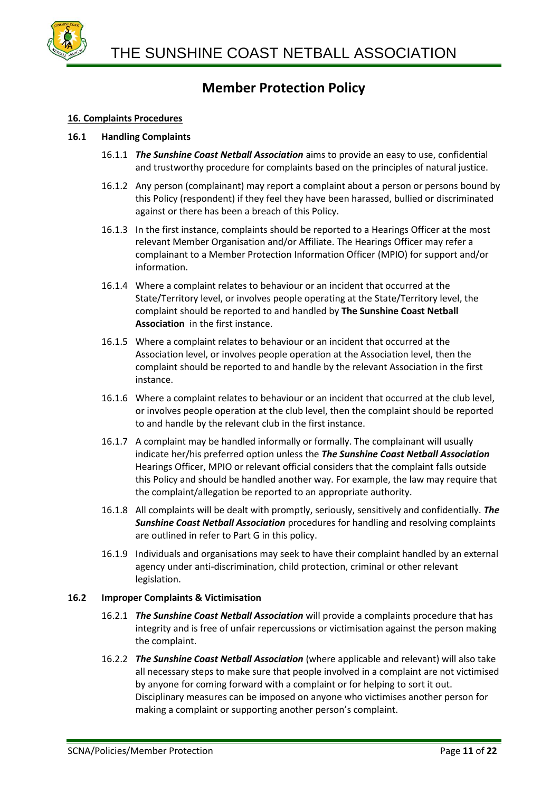

### **16. Complaints Procedures**

### **16.1 Handling Complaints**

- 16.1.1 *The Sunshine Coast Netball Association* aims to provide an easy to use, confidential and trustworthy procedure for complaints based on the principles of natural justice.
- 16.1.2 Any person (complainant) may report a complaint about a person or persons bound by this Policy (respondent) if they feel they have been harassed, bullied or discriminated against or there has been a breach of this Policy.
- 16.1.3 In the first instance, complaints should be reported to a Hearings Officer at the most relevant Member Organisation and/or Affiliate. The Hearings Officer may refer a complainant to a Member Protection Information Officer (MPIO) for support and/or information.
- 16.1.4 Where a complaint relates to behaviour or an incident that occurred at the State/Territory level, or involves people operating at the State/Territory level, the complaint should be reported to and handled by **The Sunshine Coast Netball Association** in the first instance.
- 16.1.5 Where a complaint relates to behaviour or an incident that occurred at the Association level, or involves people operation at the Association level, then the complaint should be reported to and handle by the relevant Association in the first instance.
- 16.1.6 Where a complaint relates to behaviour or an incident that occurred at the club level, or involves people operation at the club level, then the complaint should be reported to and handle by the relevant club in the first instance.
- 16.1.7 A complaint may be handled informally or formally. The complainant will usually indicate her/his preferred option unless the *The Sunshine Coast Netball Association* Hearings Officer, MPIO or relevant official considers that the complaint falls outside this Policy and should be handled another way. For example, the law may require that the complaint/allegation be reported to an appropriate authority.
- 16.1.8 All complaints will be dealt with promptly, seriously, sensitively and confidentially. *The Sunshine Coast Netball Association* procedures for handling and resolving complaints are outlined in refer to Part G in this policy.
- 16.1.9 Individuals and organisations may seek to have their complaint handled by an external agency under anti-discrimination, child protection, criminal or other relevant legislation.

### **16.2 Improper Complaints & Victimisation**

- 16.2.1 *The Sunshine Coast Netball Association* will provide a complaints procedure that has integrity and is free of unfair repercussions or victimisation against the person making the complaint.
- 16.2.2 *The Sunshine Coast Netball Association* (where applicable and relevant) will also take all necessary steps to make sure that people involved in a complaint are not victimised by anyone for coming forward with a complaint or for helping to sort it out. Disciplinary measures can be imposed on anyone who victimises another person for making a complaint or supporting another person's complaint.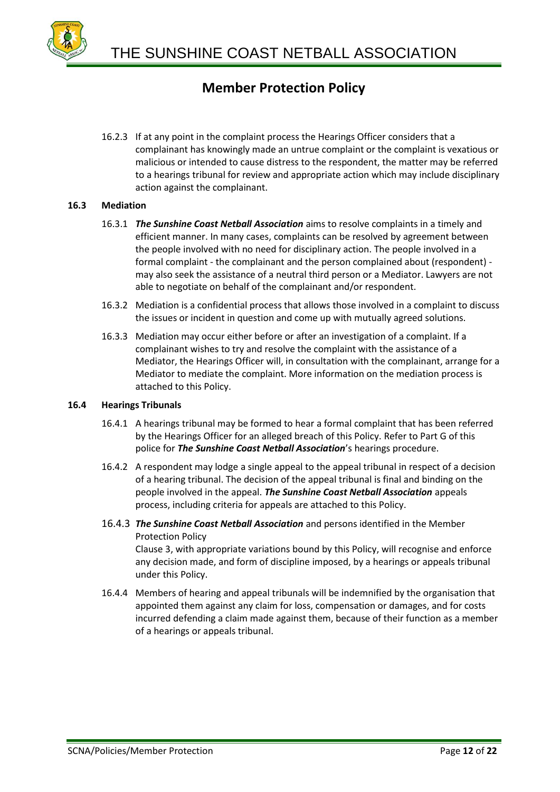

16.2.3 If at any point in the complaint process the Hearings Officer considers that a complainant has knowingly made an untrue complaint or the complaint is vexatious or malicious or intended to cause distress to the respondent, the matter may be referred to a hearings tribunal for review and appropriate action which may include disciplinary action against the complainant.

### **16.3 Mediation**

- 16.3.1 *The Sunshine Coast Netball Association* aims to resolve complaints in a timely and efficient manner. In many cases, complaints can be resolved by agreement between the people involved with no need for disciplinary action. The people involved in a formal complaint - the complainant and the person complained about (respondent) may also seek the assistance of a neutral third person or a Mediator. Lawyers are not able to negotiate on behalf of the complainant and/or respondent.
- 16.3.2 Mediation is a confidential process that allows those involved in a complaint to discuss the issues or incident in question and come up with mutually agreed solutions.
- 16.3.3 Mediation may occur either before or after an investigation of a complaint. If a complainant wishes to try and resolve the complaint with the assistance of a Mediator, the Hearings Officer will, in consultation with the complainant, arrange for a Mediator to mediate the complaint. More information on the mediation process is attached to this Policy.

### **16.4 Hearings Tribunals**

- 16.4.1 A hearings tribunal may be formed to hear a formal complaint that has been referred by the Hearings Officer for an alleged breach of this Policy. Refer to Part G of this police for *The Sunshine Coast Netball Association*'s hearings procedure.
- 16.4.2 A respondent may lodge a single appeal to the appeal tribunal in respect of a decision of a hearing tribunal. The decision of the appeal tribunal is final and binding on the people involved in the appeal. *The Sunshine Coast Netball Association* appeals process, including criteria for appeals are attached to this Policy.
- 16.4.3 *The Sunshine Coast Netball Association* and persons identified in the Member Protection Policy Clause 3, with appropriate variations bound by this Policy, will recognise and enforce any decision made, and form of discipline imposed, by a hearings or appeals tribunal under this Policy.
- 16.4.4 Members of hearing and appeal tribunals will be indemnified by the organisation that appointed them against any claim for loss, compensation or damages, and for costs incurred defending a claim made against them, because of their function as a member of a hearings or appeals tribunal.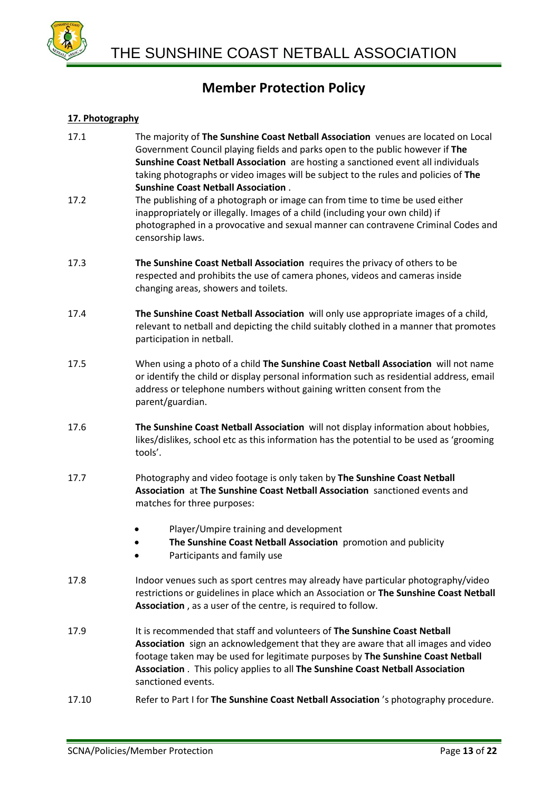

### **17. Photography**

- 17.1 The majority of **The Sunshine Coast Netball Association** venues are located on Local Government Council playing fields and parks open to the public however if **The Sunshine Coast Netball Association** are hosting a sanctioned event all individuals taking photographs or video images will be subject to the rules and policies of **The Sunshine Coast Netball Association** .
- 17.2 The publishing of a photograph or image can from time to time be used either inappropriately or illegally. Images of a child (including your own child) if photographed in a provocative and sexual manner can contravene Criminal Codes and censorship laws.
- 17.3 **The Sunshine Coast Netball Association** requires the privacy of others to be respected and prohibits the use of camera phones, videos and cameras inside changing areas, showers and toilets.
- 17.4 **The Sunshine Coast Netball Association** will only use appropriate images of a child, relevant to netball and depicting the child suitably clothed in a manner that promotes participation in netball.
- 17.5 When using a photo of a child **The Sunshine Coast Netball Association** will not name or identify the child or display personal information such as residential address, email address or telephone numbers without gaining written consent from the parent/guardian.
- 17.6 **The Sunshine Coast Netball Association** will not display information about hobbies, likes/dislikes, school etc as this information has the potential to be used as 'grooming tools'.
- 17.7 Photography and video footage is only taken by **The Sunshine Coast Netball Association** at **The Sunshine Coast Netball Association** sanctioned events and matches for three purposes:
	- Player/Umpire training and development
	- **The Sunshine Coast Netball Association** promotion and publicity
	- Participants and family use
- 17.8 Indoor venues such as sport centres may already have particular photography/video restrictions or guidelines in place which an Association or **The Sunshine Coast Netball Association** , as a user of the centre, is required to follow.
- 17.9 It is recommended that staff and volunteers of **The Sunshine Coast Netball Association** sign an acknowledgement that they are aware that all images and video footage taken may be used for legitimate purposes by **The Sunshine Coast Netball Association** . This policy applies to all **The Sunshine Coast Netball Association** sanctioned events.
- 17.10 Refer to Part I for **The Sunshine Coast Netball Association** 's photography procedure.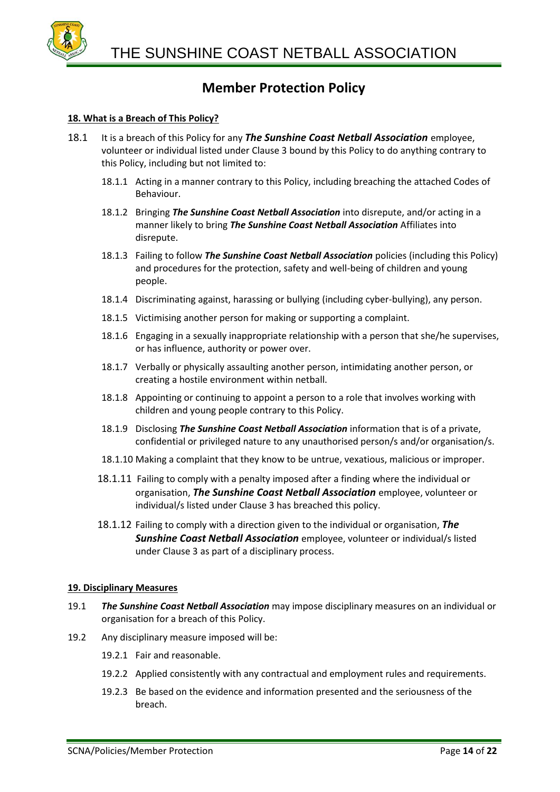

### **18. What is a Breach of This Policy?**

- 18.1 It is a breach of this Policy for any *The Sunshine Coast Netball Association* employee, volunteer or individual listed under Clause 3 bound by this Policy to do anything contrary to this Policy, including but not limited to:
	- 18.1.1 Acting in a manner contrary to this Policy, including breaching the attached Codes of Behaviour.
	- 18.1.2 Bringing *The Sunshine Coast Netball Association* into disrepute, and/or acting in a manner likely to bring *The Sunshine Coast Netball Association* Affiliates into disrepute.
	- 18.1.3 Failing to follow *The Sunshine Coast Netball Association* policies (including this Policy) and procedures for the protection, safety and well-being of children and young people.
	- 18.1.4 Discriminating against, harassing or bullying (including cyber-bullying), any person.
	- 18.1.5 Victimising another person for making or supporting a complaint.
	- 18.1.6 Engaging in a sexually inappropriate relationship with a person that she/he supervises, or has influence, authority or power over.
	- 18.1.7 Verbally or physically assaulting another person, intimidating another person, or creating a hostile environment within netball.
	- 18.1.8 Appointing or continuing to appoint a person to a role that involves working with children and young people contrary to this Policy.
	- 18.1.9 Disclosing *The Sunshine Coast Netball Association* information that is of a private, confidential or privileged nature to any unauthorised person/s and/or organisation/s.
	- 18.1.10 Making a complaint that they know to be untrue, vexatious, malicious or improper.
	- 18.1.11 Failing to comply with a penalty imposed after a finding where the individual or organisation, *The Sunshine Coast Netball Association* employee, volunteer or individual/s listed under Clause 3 has breached this policy.
	- 18.1.12 Failing to comply with a direction given to the individual or organisation, *The Sunshine Coast Netball Association* employee, volunteer or individual/s listed under Clause 3 as part of a disciplinary process.

### **19. Disciplinary Measures**

- 19.1 *The Sunshine Coast Netball Association* may impose disciplinary measures on an individual or organisation for a breach of this Policy.
- 19.2 Any disciplinary measure imposed will be:
	- 19.2.1 Fair and reasonable.
	- 19.2.2 Applied consistently with any contractual and employment rules and requirements.
	- 19.2.3 Be based on the evidence and information presented and the seriousness of the breach.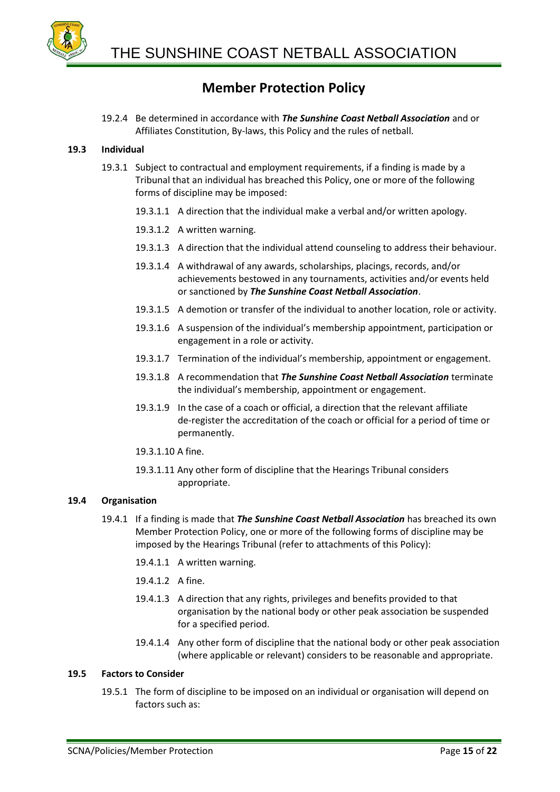

19.2.4 Be determined in accordance with *The Sunshine Coast Netball Association* and or Affiliates Constitution, By-laws, this Policy and the rules of netball.

### **19.3 Individual**

- 19.3.1 Subject to contractual and employment requirements, if a finding is made by a Tribunal that an individual has breached this Policy, one or more of the following forms of discipline may be imposed:
	- 19.3.1.1 A direction that the individual make a verbal and/or written apology.
	- 19.3.1.2 A written warning.
	- 19.3.1.3 A direction that the individual attend counseling to address their behaviour.
	- 19.3.1.4 A withdrawal of any awards, scholarships, placings, records, and/or achievements bestowed in any tournaments, activities and/or events held or sanctioned by *The Sunshine Coast Netball Association*.
	- 19.3.1.5 A demotion or transfer of the individual to another location, role or activity.
	- 19.3.1.6 A suspension of the individual's membership appointment, participation or engagement in a role or activity.
	- 19.3.1.7 Termination of the individual's membership, appointment or engagement.
	- 19.3.1.8 A recommendation that *The Sunshine Coast Netball Association* terminate the individual's membership, appointment or engagement.
	- 19.3.1.9 In the case of a coach or official, a direction that the relevant affiliate de-register the accreditation of the coach or official for a period of time or permanently.
	- 19.3.1.10 A fine.
	- 19.3.1.11 Any other form of discipline that the Hearings Tribunal considers appropriate.

### **19.4 Organisation**

- 19.4.1 If a finding is made that *The Sunshine Coast Netball Association* has breached its own Member Protection Policy, one or more of the following forms of discipline may be imposed by the Hearings Tribunal (refer to attachments of this Policy):
	- 19.4.1.1 A written warning.
	- 19.4.1.2 A fine.
	- 19.4.1.3 A direction that any rights, privileges and benefits provided to that organisation by the national body or other peak association be suspended for a specified period.
	- 19.4.1.4 Any other form of discipline that the national body or other peak association (where applicable or relevant) considers to be reasonable and appropriate.

### **19.5 Factors to Consider**

19.5.1 The form of discipline to be imposed on an individual or organisation will depend on factors such as: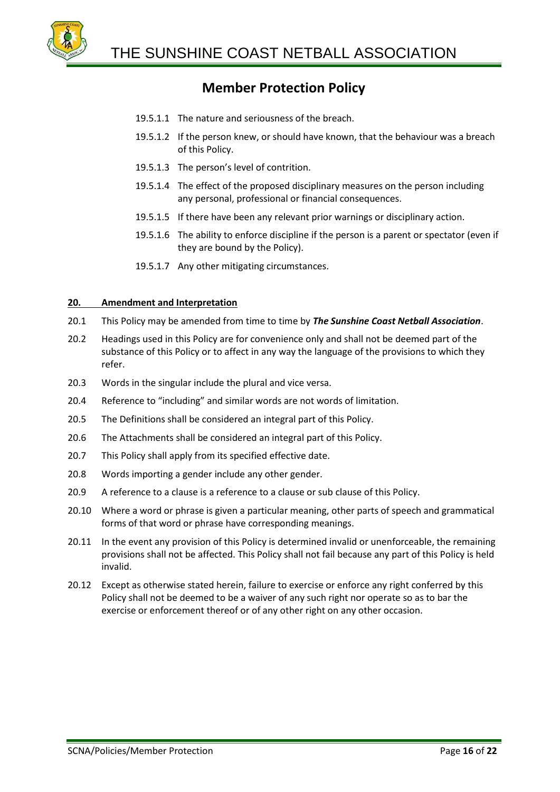

- 19.5.1.1 The nature and seriousness of the breach.
- 19.5.1.2 If the person knew, or should have known, that the behaviour was a breach of this Policy.
- 19.5.1.3 The person's level of contrition.
- 19.5.1.4 The effect of the proposed disciplinary measures on the person including any personal, professional or financial consequences.
- 19.5.1.5 If there have been any relevant prior warnings or disciplinary action.
- 19.5.1.6 The ability to enforce discipline if the person is a parent or spectator (even if they are bound by the Policy).
- 19.5.1.7 Any other mitigating circumstances.

### **20. Amendment and Interpretation**

- 20.1 This Policy may be amended from time to time by *The Sunshine Coast Netball Association*.
- 20.2 Headings used in this Policy are for convenience only and shall not be deemed part of the substance of this Policy or to affect in any way the language of the provisions to which they refer.
- 20.3 Words in the singular include the plural and vice versa.
- 20.4 Reference to "including" and similar words are not words of limitation.
- 20.5 The Definitions shall be considered an integral part of this Policy.
- 20.6 The Attachments shall be considered an integral part of this Policy.
- 20.7 This Policy shall apply from its specified effective date.
- 20.8 Words importing a gender include any other gender.
- 20.9 A reference to a clause is a reference to a clause or sub clause of this Policy.
- 20.10 Where a word or phrase is given a particular meaning, other parts of speech and grammatical forms of that word or phrase have corresponding meanings.
- 20.11 In the event any provision of this Policy is determined invalid or unenforceable, the remaining provisions shall not be affected. This Policy shall not fail because any part of this Policy is held invalid.
- 20.12 Except as otherwise stated herein, failure to exercise or enforce any right conferred by this Policy shall not be deemed to be a waiver of any such right nor operate so as to bar the exercise or enforcement thereof or of any other right on any other occasion.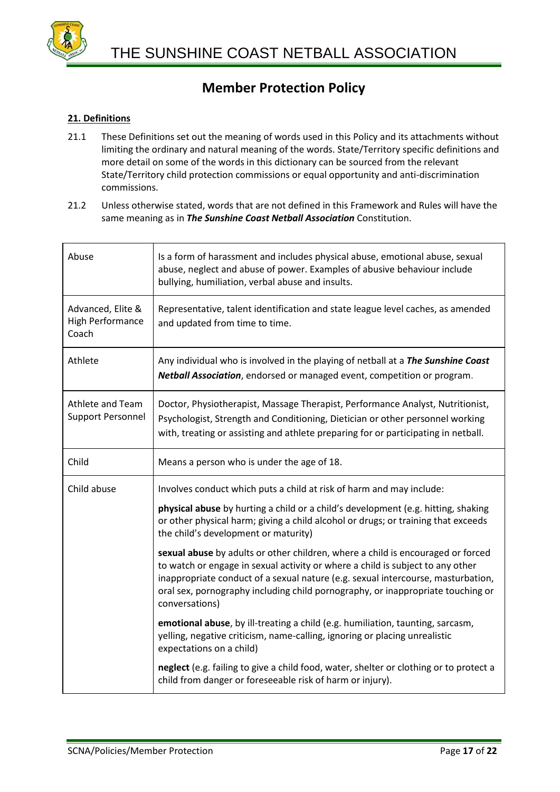

### **21. Definitions**

- 21.1 These Definitions set out the meaning of words used in this Policy and its attachments without limiting the ordinary and natural meaning of the words. State/Territory specific definitions and more detail on some of the words in this dictionary can be sourced from the relevant State/Territory child protection commissions or equal opportunity and anti-discrimination commissions.
- 21.2 Unless otherwise stated, words that are not defined in this Framework and Rules will have the same meaning as in *The Sunshine Coast Netball Association* Constitution.

| Abuse                                                 | Is a form of harassment and includes physical abuse, emotional abuse, sexual<br>abuse, neglect and abuse of power. Examples of abusive behaviour include<br>bullying, humiliation, verbal abuse and insults.                                                                                                                                               |
|-------------------------------------------------------|------------------------------------------------------------------------------------------------------------------------------------------------------------------------------------------------------------------------------------------------------------------------------------------------------------------------------------------------------------|
| Advanced, Elite &<br><b>High Performance</b><br>Coach | Representative, talent identification and state league level caches, as amended<br>and updated from time to time.                                                                                                                                                                                                                                          |
| Athlete                                               | Any individual who is involved in the playing of netball at a The Sunshine Coast<br>Netball Association, endorsed or managed event, competition or program.                                                                                                                                                                                                |
| Athlete and Team<br><b>Support Personnel</b>          | Doctor, Physiotherapist, Massage Therapist, Performance Analyst, Nutritionist,<br>Psychologist, Strength and Conditioning, Dietician or other personnel working<br>with, treating or assisting and athlete preparing for or participating in netball.                                                                                                      |
| Child                                                 | Means a person who is under the age of 18.                                                                                                                                                                                                                                                                                                                 |
| Child abuse                                           | Involves conduct which puts a child at risk of harm and may include:                                                                                                                                                                                                                                                                                       |
|                                                       | physical abuse by hurting a child or a child's development (e.g. hitting, shaking<br>or other physical harm; giving a child alcohol or drugs; or training that exceeds<br>the child's development or maturity)                                                                                                                                             |
|                                                       | sexual abuse by adults or other children, where a child is encouraged or forced<br>to watch or engage in sexual activity or where a child is subject to any other<br>inappropriate conduct of a sexual nature (e.g. sexual intercourse, masturbation,<br>oral sex, pornography including child pornography, or inappropriate touching or<br>conversations) |
|                                                       | emotional abuse, by ill-treating a child (e.g. humiliation, taunting, sarcasm,<br>yelling, negative criticism, name-calling, ignoring or placing unrealistic<br>expectations on a child)                                                                                                                                                                   |
|                                                       | neglect (e.g. failing to give a child food, water, shelter or clothing or to protect a<br>child from danger or foreseeable risk of harm or injury).                                                                                                                                                                                                        |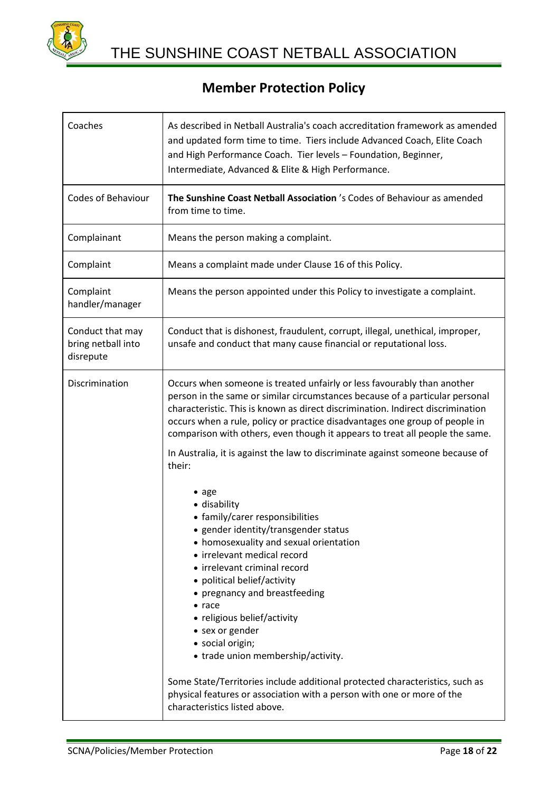

| Coaches                                             | As described in Netball Australia's coach accreditation framework as amended<br>and updated form time to time. Tiers include Advanced Coach, Elite Coach<br>and High Performance Coach. Tier levels - Foundation, Beginner,<br>Intermediate, Advanced & Elite & High Performance.                                                                                                                                                                                                                                                                                                                                    |
|-----------------------------------------------------|----------------------------------------------------------------------------------------------------------------------------------------------------------------------------------------------------------------------------------------------------------------------------------------------------------------------------------------------------------------------------------------------------------------------------------------------------------------------------------------------------------------------------------------------------------------------------------------------------------------------|
| <b>Codes of Behaviour</b>                           | The Sunshine Coast Netball Association 's Codes of Behaviour as amended<br>from time to time.                                                                                                                                                                                                                                                                                                                                                                                                                                                                                                                        |
| Complainant                                         | Means the person making a complaint.                                                                                                                                                                                                                                                                                                                                                                                                                                                                                                                                                                                 |
| Complaint                                           | Means a complaint made under Clause 16 of this Policy.                                                                                                                                                                                                                                                                                                                                                                                                                                                                                                                                                               |
| Complaint<br>handler/manager                        | Means the person appointed under this Policy to investigate a complaint.                                                                                                                                                                                                                                                                                                                                                                                                                                                                                                                                             |
| Conduct that may<br>bring netball into<br>disrepute | Conduct that is dishonest, fraudulent, corrupt, illegal, unethical, improper,<br>unsafe and conduct that many cause financial or reputational loss.                                                                                                                                                                                                                                                                                                                                                                                                                                                                  |
| Discrimination                                      | Occurs when someone is treated unfairly or less favourably than another<br>person in the same or similar circumstances because of a particular personal<br>characteristic. This is known as direct discrimination. Indirect discrimination<br>occurs when a rule, policy or practice disadvantages one group of people in<br>comparison with others, even though it appears to treat all people the same.<br>In Australia, it is against the law to discriminate against someone because of                                                                                                                          |
|                                                     | their:<br>$\bullet$ age<br>• disability<br>• family/carer responsibilities<br>• gender identity/transgender status<br>• homosexuality and sexual orientation<br>• irrelevant medical record<br>• irrelevant criminal record<br>• political belief/activity<br>• pregnancy and breastfeeding<br>$\bullet$ race<br>• religious belief/activity<br>• sex or gender<br>· social origin;<br>• trade union membership/activity.<br>Some State/Territories include additional protected characteristics, such as<br>physical features or association with a person with one or more of the<br>characteristics listed above. |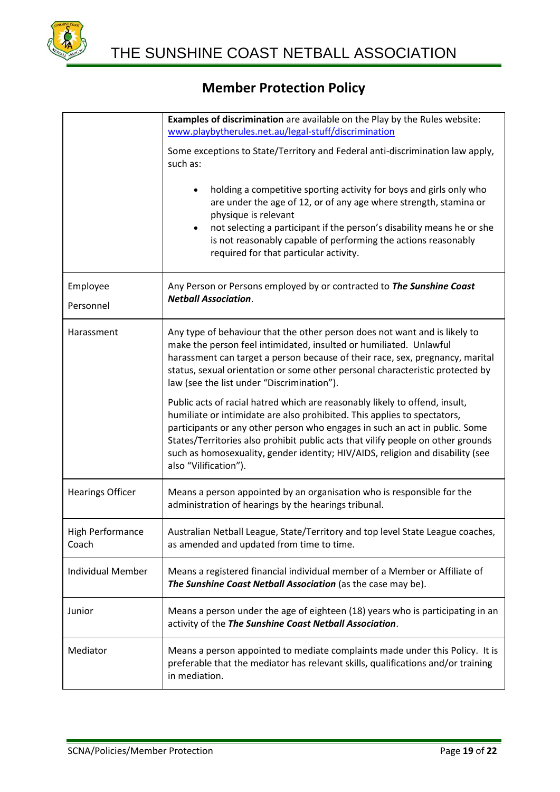

|                                  | <b>Examples of discrimination</b> are available on the Play by the Rules website:<br>www.playbytherules.net.au/legal-stuff/discrimination                                                                                                                                                                                                                                                                                             |
|----------------------------------|---------------------------------------------------------------------------------------------------------------------------------------------------------------------------------------------------------------------------------------------------------------------------------------------------------------------------------------------------------------------------------------------------------------------------------------|
|                                  | Some exceptions to State/Territory and Federal anti-discrimination law apply,<br>such as:                                                                                                                                                                                                                                                                                                                                             |
|                                  | holding a competitive sporting activity for boys and girls only who<br>$\bullet$<br>are under the age of 12, or of any age where strength, stamina or<br>physique is relevant<br>not selecting a participant if the person's disability means he or she<br>$\bullet$<br>is not reasonably capable of performing the actions reasonably<br>required for that particular activity.                                                      |
| Employee<br>Personnel            | Any Person or Persons employed by or contracted to The Sunshine Coast<br><b>Netball Association.</b>                                                                                                                                                                                                                                                                                                                                  |
| Harassment                       | Any type of behaviour that the other person does not want and is likely to<br>make the person feel intimidated, insulted or humiliated. Unlawful<br>harassment can target a person because of their race, sex, pregnancy, marital<br>status, sexual orientation or some other personal characteristic protected by<br>law (see the list under "Discrimination").                                                                      |
|                                  | Public acts of racial hatred which are reasonably likely to offend, insult,<br>humiliate or intimidate are also prohibited. This applies to spectators,<br>participants or any other person who engages in such an act in public. Some<br>States/Territories also prohibit public acts that vilify people on other grounds<br>such as homosexuality, gender identity; HIV/AIDS, religion and disability (see<br>also "Vilification"). |
| <b>Hearings Officer</b>          | Means a person appointed by an organisation who is responsible for the<br>administration of hearings by the hearings tribunal.                                                                                                                                                                                                                                                                                                        |
| <b>High Performance</b><br>Coach | Australian Netball League, State/Territory and top level State League coaches,<br>as amended and updated from time to time.                                                                                                                                                                                                                                                                                                           |
| <b>Individual Member</b>         | Means a registered financial individual member of a Member or Affiliate of<br>The Sunshine Coast Netball Association (as the case may be).                                                                                                                                                                                                                                                                                            |
| Junior                           | Means a person under the age of eighteen (18) years who is participating in an<br>activity of the The Sunshine Coast Netball Association.                                                                                                                                                                                                                                                                                             |
| Mediator                         | Means a person appointed to mediate complaints made under this Policy. It is<br>preferable that the mediator has relevant skills, qualifications and/or training<br>in mediation.                                                                                                                                                                                                                                                     |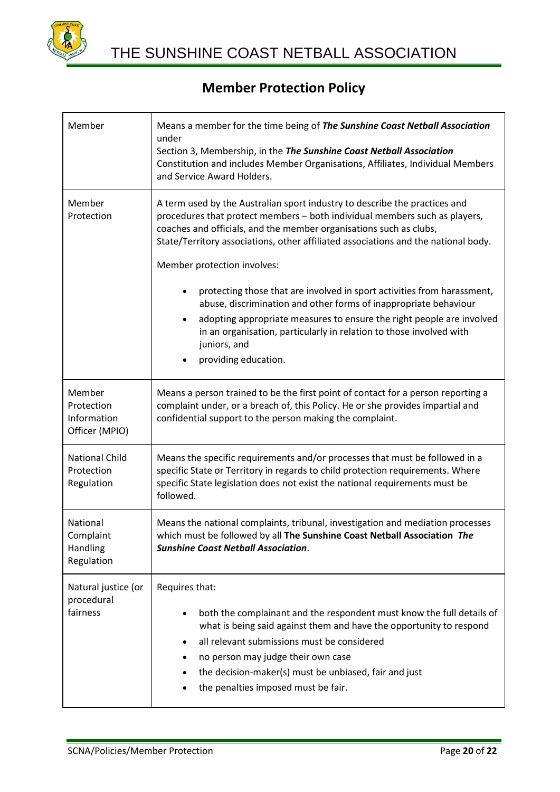

| Member                                                | Means a member for the time being of The Sunshine Coast Netball Association<br>under<br>Section 3, Membership, in the The Sunshine Coast Netball Association<br>Constitution and includes Member Organisations, Affiliates, Individual Members<br>and Service Award Holders.                                                                                                  |
|-------------------------------------------------------|-------------------------------------------------------------------------------------------------------------------------------------------------------------------------------------------------------------------------------------------------------------------------------------------------------------------------------------------------------------------------------|
| Member<br>Protection                                  | A term used by the Australian sport industry to describe the practices and<br>procedures that protect members - both individual members such as players,<br>coaches and officials, and the member organisations such as clubs,<br>State/Territory associations, other affiliated associations and the national body.<br>Member protection involves:                           |
|                                                       | protecting those that are involved in sport activities from harassment,<br>٠<br>abuse, discrimination and other forms of inappropriate behaviour<br>adopting appropriate measures to ensure the right people are involved<br>٠<br>in an organisation, particularly in relation to those involved with<br>juniors, and<br>providing education.                                 |
| Member<br>Protection<br>Information<br>Officer (MPIO) | Means a person trained to be the first point of contact for a person reporting a<br>complaint under, or a breach of, this Policy. He or she provides impartial and<br>confidential support to the person making the complaint.                                                                                                                                                |
| <b>National Child</b><br>Protection<br>Regulation     | Means the specific requirements and/or processes that must be followed in a<br>specific State or Territory in regards to child protection requirements. Where<br>specific State legislation does not exist the national requirements must be<br>followed.                                                                                                                     |
| National<br>Complaint<br>Handling<br>Regulation       | Means the national complaints, tribunal, investigation and mediation processes<br>which must be followed by all The Sunshine Coast Netball Association The<br><b>Sunshine Coast Netball Association.</b>                                                                                                                                                                      |
| Natural justice (or<br>procedural<br>fairness         | Requires that:<br>both the complainant and the respondent must know the full details of<br>$\bullet$<br>what is being said against them and have the opportunity to respond<br>all relevant submissions must be considered<br>$\bullet$<br>no person may judge their own case<br>the decision-maker(s) must be unbiased, fair and just<br>the penalties imposed must be fair. |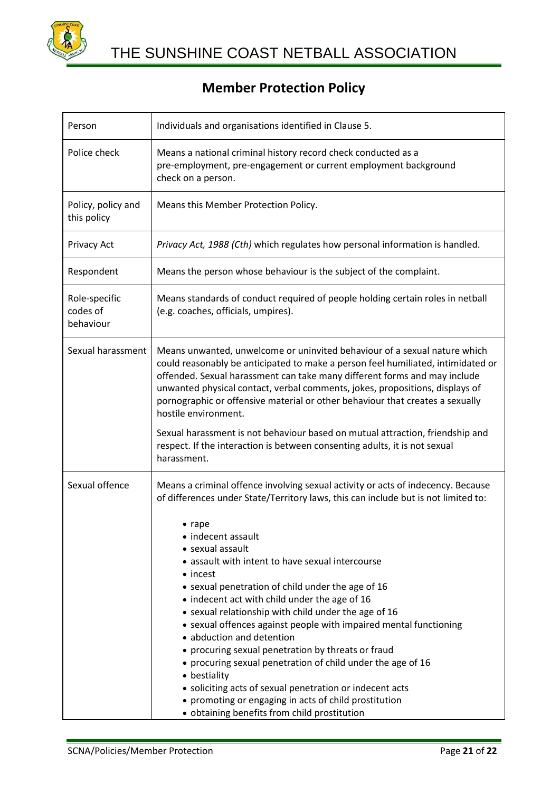

| Person                                 | Individuals and organisations identified in Clause 5.                                                                                                                                                                                                                                                                                                                                                                                                                                                                                                                                                                                                                                                                                                                                  |
|----------------------------------------|----------------------------------------------------------------------------------------------------------------------------------------------------------------------------------------------------------------------------------------------------------------------------------------------------------------------------------------------------------------------------------------------------------------------------------------------------------------------------------------------------------------------------------------------------------------------------------------------------------------------------------------------------------------------------------------------------------------------------------------------------------------------------------------|
| Police check                           | Means a national criminal history record check conducted as a<br>pre-employment, pre-engagement or current employment background<br>check on a person.                                                                                                                                                                                                                                                                                                                                                                                                                                                                                                                                                                                                                                 |
| Policy, policy and<br>this policy      | Means this Member Protection Policy.                                                                                                                                                                                                                                                                                                                                                                                                                                                                                                                                                                                                                                                                                                                                                   |
| <b>Privacy Act</b>                     | Privacy Act, 1988 (Cth) which regulates how personal information is handled.                                                                                                                                                                                                                                                                                                                                                                                                                                                                                                                                                                                                                                                                                                           |
| Respondent                             | Means the person whose behaviour is the subject of the complaint.                                                                                                                                                                                                                                                                                                                                                                                                                                                                                                                                                                                                                                                                                                                      |
| Role-specific<br>codes of<br>behaviour | Means standards of conduct required of people holding certain roles in netball<br>(e.g. coaches, officials, umpires).                                                                                                                                                                                                                                                                                                                                                                                                                                                                                                                                                                                                                                                                  |
| Sexual harassment                      | Means unwanted, unwelcome or uninvited behaviour of a sexual nature which<br>could reasonably be anticipated to make a person feel humiliated, intimidated or<br>offended. Sexual harassment can take many different forms and may include<br>unwanted physical contact, verbal comments, jokes, propositions, displays of<br>pornographic or offensive material or other behaviour that creates a sexually<br>hostile environment.<br>Sexual harassment is not behaviour based on mutual attraction, friendship and<br>respect. If the interaction is between consenting adults, it is not sexual                                                                                                                                                                                     |
| Sexual offence                         | harassment.<br>Means a criminal offence involving sexual activity or acts of indecency. Because                                                                                                                                                                                                                                                                                                                                                                                                                                                                                                                                                                                                                                                                                        |
|                                        | of differences under State/Territory laws, this can include but is not limited to:<br>$\bullet$ rape<br>indecent assault<br>• sexual assault<br>• assault with intent to have sexual intercourse<br>• incest<br>• sexual penetration of child under the age of 16<br>• indecent act with child under the age of 16<br>• sexual relationship with child under the age of 16<br>• sexual offences against people with impaired mental functioning<br>• abduction and detention<br>• procuring sexual penetration by threats or fraud<br>• procuring sexual penetration of child under the age of 16<br>• bestiality<br>• soliciting acts of sexual penetration or indecent acts<br>• promoting or engaging in acts of child prostitution<br>· obtaining benefits from child prostitution |